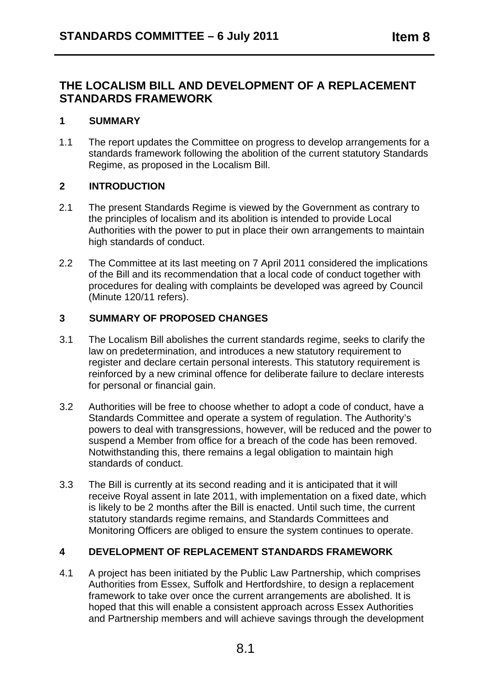# **THE LOCALISM BILL AND DEVELOPMENT OF A REPLACEMENT STANDARDS FRAMEWORK**

#### **1 SUMMARY**

1.1 The report updates the Committee on progress to develop arrangements for a standards framework following the abolition of the current statutory Standards Regime, as proposed in the Localism Bill.

## **2 INTRODUCTION**

- 2.1 The present Standards Regime is viewed by the Government as contrary to the principles of localism and its abolition is intended to provide Local Authorities with the power to put in place their own arrangements to maintain high standards of conduct.
- 2.2 The Committee at its last meeting on 7 April 2011 considered the implications of the Bill and its recommendation that a local code of conduct together with procedures for dealing with complaints be developed was agreed by Council (Minute 120/11 refers).

## **3 SUMMARY OF PROPOSED CHANGES**

- 3.1 The Localism Bill abolishes the current standards regime, seeks to clarify the law on predetermination, and introduces a new statutory requirement to register and declare certain personal interests. This statutory requirement is reinforced by a new criminal offence for deliberate failure to declare interests for personal or financial gain.
- 3.2 Authorities will be free to choose whether to adopt a code of conduct, have a Standards Committee and operate a system of regulation. The Authority's powers to deal with transgressions, however, will be reduced and the power to suspend a Member from office for a breach of the code has been removed. Notwithstanding this, there remains a legal obligation to maintain high standards of conduct.
- 3.3 The Bill is currently at its second reading and it is anticipated that it will receive Royal assent in late 2011, with implementation on a fixed date, which is likely to be 2 months after the Bill is enacted. Until such time, the current statutory standards regime remains, and Standards Committees and Monitoring Officers are obliged to ensure the system continues to operate.

#### **4 DEVELOPMENT OF REPLACEMENT STANDARDS FRAMEWORK**

4.1 A project has been initiated by the Public Law Partnership, which comprises Authorities from Essex, Suffolk and Hertfordshire, to design a replacement framework to take over once the current arrangements are abolished. It is hoped that this will enable a consistent approach across Essex Authorities and Partnership members and will achieve savings through the development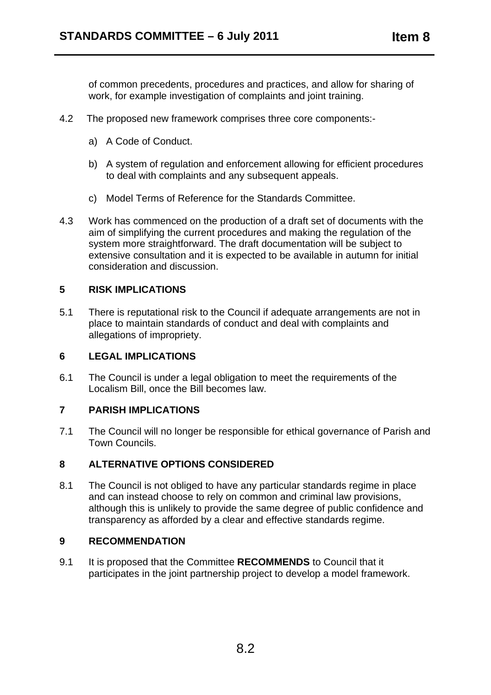of common precedents, procedures and practices, and allow for sharing of work, for example investigation of complaints and joint training.

- 4.2 The proposed new framework comprises three core components:
	- a) A Code of Conduct.
	- b) A system of regulation and enforcement allowing for efficient procedures to deal with complaints and any subsequent appeals.
	- c) Model Terms of Reference for the Standards Committee.
- 4.3 Work has commenced on the production of a draft set of documents with the aim of simplifying the current procedures and making the regulation of the system more straightforward. The draft documentation will be subject to extensive consultation and it is expected to be available in autumn for initial consideration and discussion.

#### **5 RISK IMPLICATIONS**

5.1 There is reputational risk to the Council if adequate arrangements are not in place to maintain standards of conduct and deal with complaints and allegations of impropriety.

#### **6 LEGAL IMPLICATIONS**

6.1 The Council is under a legal obligation to meet the requirements of the Localism Bill, once the Bill becomes law.

#### **7 PARISH IMPLICATIONS**

7.1 The Council will no longer be responsible for ethical governance of Parish and Town Councils.

#### **8 ALTERNATIVE OPTIONS CONSIDERED**

8.1 The Council is not obliged to have any particular standards regime in place and can instead choose to rely on common and criminal law provisions, although this is unlikely to provide the same degree of public confidence and transparency as afforded by a clear and effective standards regime.

### **9 RECOMMENDATION**

9.1 It is proposed that the Committee **RECOMMENDS** to Council that it participates in the joint partnership project to develop a model framework.